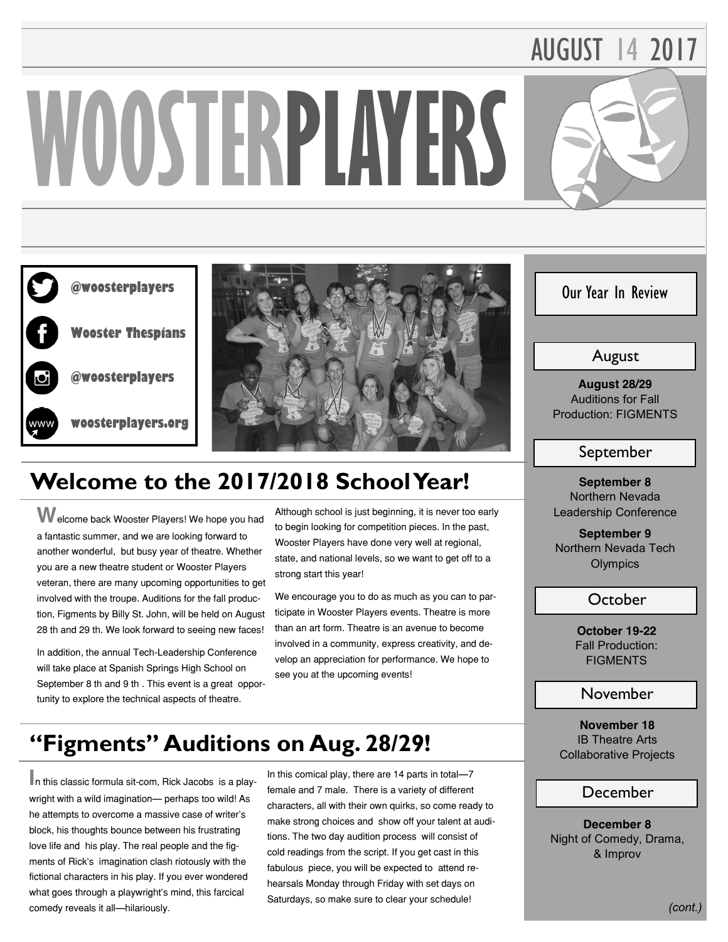# AUGUST 14 2017

# **WOOSTERPLAYERS**





# **Welcome to the 2017/2018 School Year!**

**W**elcome back Wooster Players! We hope you had a fantastic summer, and we are looking forward to another wonderful, but busy year of theatre. Whether you are a new theatre student or Wooster Players veteran, there are many upcoming opportunities to get involved with the troupe. Auditions for the fall production, Figments by Billy St. John, will be held on August 28 th and 29 th. We look forward to seeing new faces!

In addition, the annual Tech-Leadership Conference will take place at Spanish Springs High School on September 8 th and 9 th . This event is a great opportunity to explore the technical aspects of theatre.

Although school is just beginning, it is never too early to begin looking for competition pieces. In the past, Wooster Players have done very well at regional, state, and national levels, so we want to get off to a strong start this year!

We encourage you to do as much as you can to participate in Wooster Players events. Theatre is more than an art form. Theatre is an avenue to become involved in a community, express creativity, and develop an appreciation for performance. We hope to see you at the upcoming events!

# **"Figments" Auditions on Aug. 28/29!**

**I**n this classic formula sit-com, Rick Jacobs is a playwright with a wild imagination— perhaps too wild! As he attempts to overcome a massive case of writer's block, his thoughts bounce between his frustrating love life and his play. The real people and the figments of Rick's imagination clash riotously with the fictional characters in his play. If you ever wondered what goes through a playwright's mind, this farcical comedy reveals it all—hilariously.

In this comical play, there are 14 parts in total—7 female and 7 male. There is a variety of different characters, all with their own quirks, so come ready to make strong choices and show off your talent at auditions. The two day audition process will consist of cold readings from the script. If you get cast in this fabulous piece, you will be expected to attend rehearsals Monday through Friday with set days on Saturdays, so make sure to clear your schedule!

# Our Year In Review

# August

**August 28/29 Auditions for Fall Production: FIGMENTS**

## September

**September 8 Northern Nevada Leadership Conference**

**September 9 Northern Nevada Tech Olympics**

## October

**October 19-22 Fall Production: FIGMENTS**

### November

**November 18 IB Theatre Arts Collaborative Projects**

#### December

**December 8 Night of Comedy, Drama, & Improv**

*(cont.)*